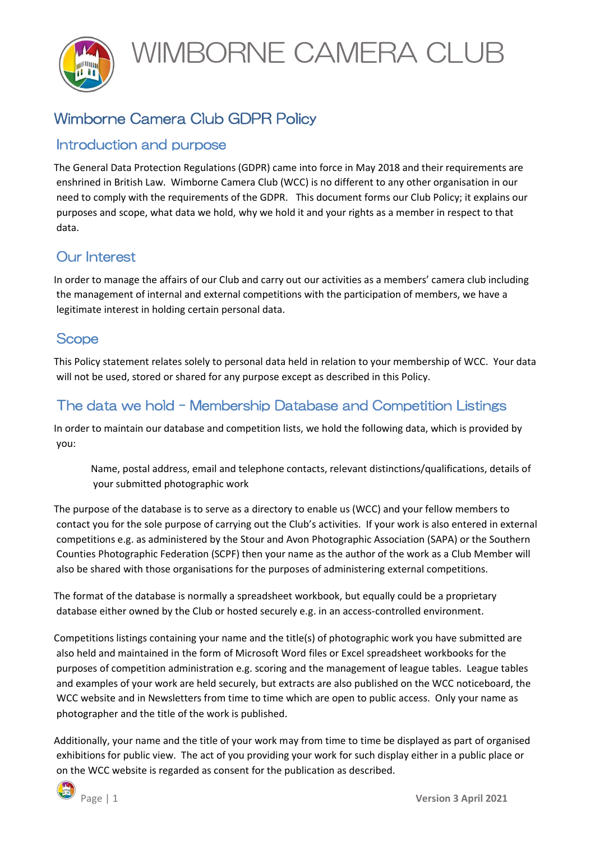WIMBORNE CAMERA CLUB



## Wimborne Camera Club GDPR Policy

### Introduction and purpose

The General Data Protection Regulations (GDPR) came into force in May 2018 and their requirements are enshrined in British Law. Wimborne Camera Club (WCC) is no different to any other organisation in our need to comply with the requirements of the GDPR. This document forms our Club Policy; it explains our purposes and scope, what data we hold, why we hold it and your rights as a member in respect to that data.

### Our Interest

In order to manage the affairs of our Club and carry out our activities as a members' camera club including the management of internal and external competitions with the participation of members, we have a legitimate interest in holding certain personal data.

#### **Scope**

This Policy statement relates solely to personal data held in relation to your membership of WCC. Your data will not be used, stored or shared for any purpose except as described in this Policy.

### The data we hold – Membership Database and Competition Listings

In order to maintain our database and competition lists, we hold the following data, which is provided by you:

Name, postal address, email and telephone contacts, relevant distinctions/qualifications, details of your submitted photographic work

The purpose of the database is to serve as a directory to enable us (WCC) and your fellow members to contact you for the sole purpose of carrying out the Club's activities. If your work is also entered in external competitions e.g. as administered by the Stour and Avon Photographic Association (SAPA) or the Southern Counties Photographic Federation (SCPF) then your name as the author of the work as a Club Member will also be shared with those organisations for the purposes of administering external competitions.

The format of the database is normally a spreadsheet workbook, but equally could be a proprietary database either owned by the Club or hosted securely e.g. in an access-controlled environment.

Competitions listings containing your name and the title(s) of photographic work you have submitted are also held and maintained in the form of Microsoft Word files or Excel spreadsheet workbooks for the purposes of competition administration e.g. scoring and the management of league tables. League tables and examples of your work are held securely, but extracts are also published on the WCC noticeboard, the WCC website and in Newsletters from time to time which are open to public access. Only your name as photographer and the title of the work is published.

Additionally, your name and the title of your work may from time to time be displayed as part of organised exhibitions for public view. The act of you providing your work for such display either in a public place or on the WCC website is regarded as consent for the publication as described.